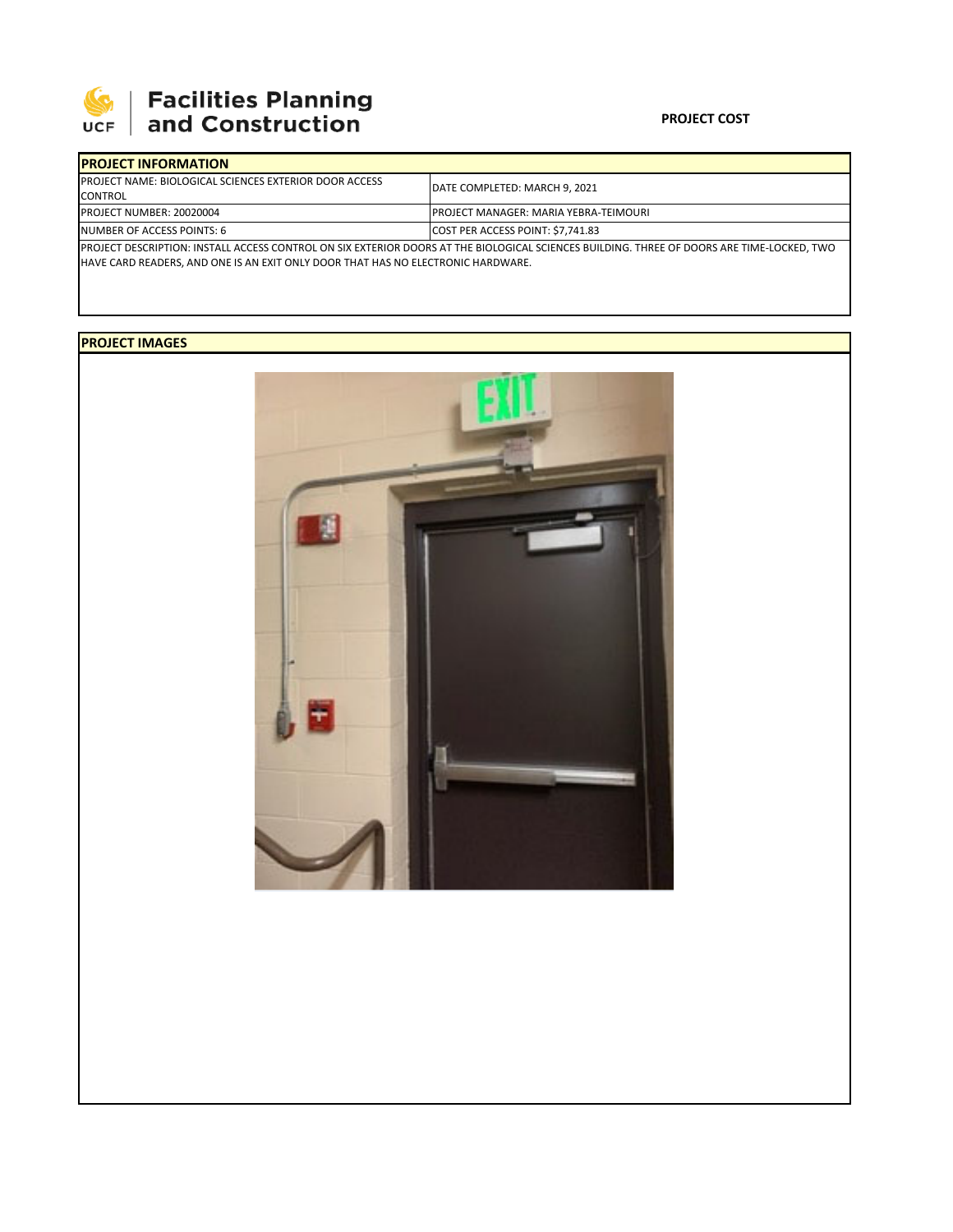

## 

## **PROJECT COST**

| <b>IPROJECT INFORMATION</b>                                                                                                                |                                               |
|--------------------------------------------------------------------------------------------------------------------------------------------|-----------------------------------------------|
| <b>PROJECT NAME: BIOLOGICAL SCIENCES EXTERIOR DOOR ACCESS</b>                                                                              | DATE COMPLETED: MARCH 9. 2021                 |
| <b>CONTROL</b>                                                                                                                             |                                               |
| <b>PROJECT NUMBER: 20020004</b>                                                                                                            | <b>IPROJECT MANAGER: MARIA YEBRA-TEIMOURI</b> |
| NUMBER OF ACCESS POINTS: 6                                                                                                                 | <b>COST PER ACCESS POINT: \$7.741.83</b>      |
| PROJECT DESCRIPTION: INSTALL ACCESS CONTROL ON SIX EXTERIOR DOORS AT THE BIOLOGICAL SCIENCES BUILDING. THREE OF DOORS ARE TIME-LOCKED, TWO |                                               |
| <b>HAVE CARD READERS, AND ONE IS AN EXIT ONLY DOOR THAT HAS NO ELECTRONIC HARDWARE.</b>                                                    |                                               |

**PROJECT IMAGES**